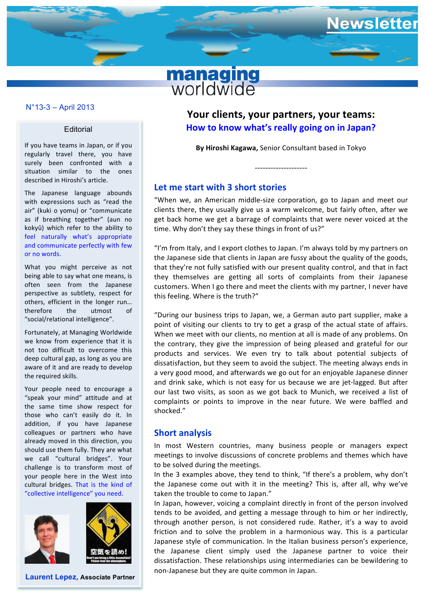

## **N°11-7 – December 2011** N°13-3 – April 2013

#### **Editorial**

If you have teams in Japan, or if you regularly travel there, you have surely been confronted with a situation similar to the ones described in Hiroshi's article.

The Japanese language abounds with expressions such as "read the air" (kuki o yomu) or "communicate as if breathing together" (aun no kokyû) which refer to the ability to feel naturally what's appropriate and communicate perfectly with few or no words.

What you might perceive as not being able to say what one means, is often seen from the Japanese perspective as subtlety, respect for others, efficient in the longer run... therefore the utmost of "social/relational intelligence".

Fortunately, at Managing Worldwide we know from experience that it is not too difficult to overcome this deep cultural gap, as long as you are aware of it and are ready to develop the required skills.

Your people need to encourage a "speak your mind" attitude and at the same time show respect for those who can't easily do it. In addition, if you have Japanese colleagues or partners who have already moved in this direction, you should use them fully. They are what we call "cultural bridges". Your challenge is to transform most of your people here in the West into cultural bridges. That is the kind of "collective intelligence" you need.





**Laurent Lepez, Associate Partner**

Your clients, your partners, your teams: How to know what's really going on in Japan?

**Newsletter** 

**By Hiroshi Kagawa, Senior Consultant based in Tokyo** 

--------------------

## Let me start with 3 short stories

"When we, an American middle-size corporation, go to Japan and meet our clients there, they usually give us a warm welcome, but fairly often, after we get back home we get a barrage of complaints that were never voiced at the time. Why don't they say these things in front of us?"

"I'm from Italy, and I export clothes to Japan. I'm always told by my partners on the Japanese side that clients in Japan are fussy about the quality of the goods, that they're not fully satisfied with our present quality control, and that in fact they themselves are getting all sorts of complaints from their Japanese customers. When I go there and meet the clients with my partner, I never have this feeling. Where is the truth?"

"During our business trips to Japan, we, a German auto part supplier, make a point of visiting our clients to try to get a grasp of the actual state of affairs. When we meet with our clients, no mention at all is made of any problems. On the contrary, they give the impression of being pleased and grateful for our products and services. We even try to talk about potential subjects of dissatisfaction, but they seem to avoid the subject. The meeting always ends in a very good mood, and afterwards we go out for an enjoyable Japanese dinner and drink sake, which is not easy for us because we are jet-lagged. But after our last two visits, as soon as we got back to Munich, we received a list of complaints or points to improve in the near future. We were baffled and shocked." 

### **Short analysis**

In most Western countries, many business people or managers expect meetings to involve discussions of concrete problems and themes which have to be solved during the meetings.

In the 3 examples above, they tend to think, "If there's a problem, why don't the Japanese come out with it in the meeting? This is, after all, why we've taken the trouble to come to Japan."

In Japan, however, voicing a complaint directly in front of the person involved tends to be avoided, and getting a message through to him or her indirectly, through another person, is not considered rude. Rather, it's a way to avoid friction and to solve the problem in a harmonious way. This is a particular Japanese style of communication. In the Italian business person's experience, the Japanese client simply used the Japanese partner to voice their dissatisfaction. These relationships using intermediaries can be bewildering to non-Japanese but they are quite common in Japan.